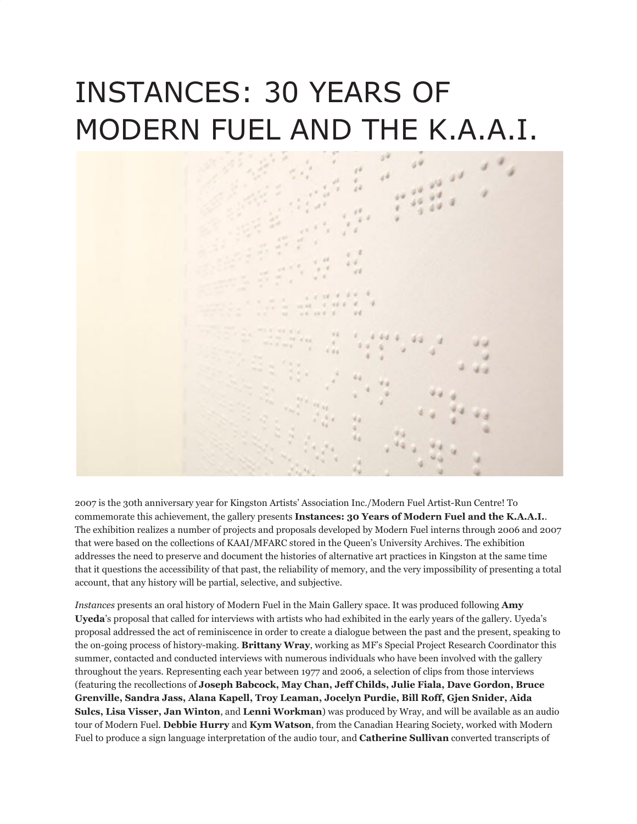## INSTANCES: 30 YEARS OF MODERN FUEL AND THE K.A.A.I.



2007 is the 30th anniversary year for Kingston Artists' Association Inc./Modern Fuel Artist-Run Centre! To commemorate this achievement, the gallery presents **Instances: 30 Years of Modern Fuel and the K.A.A.I.**. The exhibition realizes a number of projects and proposals developed by Modern Fuel interns through 2006 and 2007 that were based on the collections of KAAI/MFARC stored in the Queen's University Archives. The exhibition addresses the need to preserve and document the histories of alternative art practices in Kingston at the same time that it questions the accessibility of that past, the reliability of memory, and the very impossibility of presenting a total account, that any history will be partial, selective, and subjective.

*Instances* presents an oral history of Modern Fuel in the Main Gallery space. It was produced following **Amy Uyeda**'s proposal that called for interviews with artists who had exhibited in the early years of the gallery. Uyeda's proposal addressed the act of reminiscence in order to create a dialogue between the past and the present, speaking to the on-going process of history-making. **Brittany Wray**, working as MF's Special Project Research Coordinator this summer, contacted and conducted interviews with numerous individuals who have been involved with the gallery throughout the years. Representing each year between 1977 and 2006, a selection of clips from those interviews (featuring the recollections of **Joseph Babcock, May Chan, Jeff Childs, Julie Fiala, Dave Gordon, Bruce Grenville, Sandra Jass, Alana Kapell, Troy Leaman, Jocelyn Purdie, Bill Roff, Gjen Snider, Aida Sulcs, Lisa Visser, Jan Winton**, and **Lenni Workman**) was produced by Wray, and will be available as an audio tour of Modern Fuel. **Debbie Hurry** and **Kym Watson**, from the Canadian Hearing Society, worked with Modern Fuel to produce a sign language interpretation of the audio tour, and **Catherine Sullivan** converted transcripts of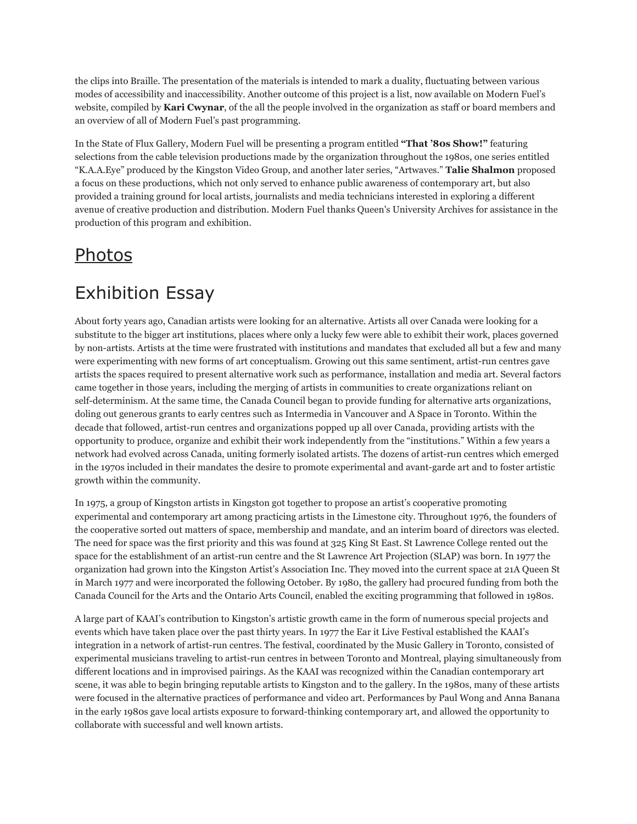the clips into Braille. The presentation of the materials is intended to mark a duality, fluctuating between various modes of accessibility and inaccessibility. Another outcome of this project is a list, now available on Modern Fuel's website, compiled by **Kari Cwynar**, of the all the people involved in the organization as staff or board members and an overview of all of Modern Fuel's past programming.

In the State of Flux Gallery, Modern Fuel will be presenting a program entitled **"That '80s Show!"** featuring selections from the cable television productions made by the organization throughout the 1980s, one series entitled "K.A.A.Eye" produced by the Kingston Video Group, and another later series, "Artwaves." **Talie Shalmon** proposed a focus on these productions, which not only served to enhance public awareness of contemporary art, but also provided a training ground for local artists, journalists and media technicians interested in exploring a different avenue of creative production and distribution. Modern Fuel thanks Queen's University Archives for assistance in the production of this program and exhibition.

## [Photos](http://www.flickr.com/photos/modernfuel/sets/72157603443124587/)

## Exhibition Essay

About forty years ago, Canadian artists were looking for an alternative. Artists all over Canada were looking for a substitute to the bigger art institutions, places where only a lucky few were able to exhibit their work, places governed by non-artists. Artists at the time were frustrated with institutions and mandates that excluded all but a few and many were experimenting with new forms of art conceptualism. Growing out this same sentiment, artist-run centres gave artists the spaces required to present alternative work such as performance, installation and media art. Several factors came together in those years, including the merging of artists in communities to create organizations reliant on self-determinism. At the same time, the Canada Council began to provide funding for alternative arts organizations, doling out generous grants to early centres such as Intermedia in Vancouver and A Space in Toronto. Within the decade that followed, artist-run centres and organizations popped up all over Canada, providing artists with the opportunity to produce, organize and exhibit their work independently from the "institutions." Within a few years a network had evolved across Canada, uniting formerly isolated artists. The dozens of artist-run centres which emerged in the 1970s included in their mandates the desire to promote experimental and avant-garde art and to foster artistic growth within the community.

In 1975, a group of Kingston artists in Kingston got together to propose an artist's cooperative promoting experimental and contemporary art among practicing artists in the Limestone city. Throughout 1976, the founders of the cooperative sorted out matters of space, membership and mandate, and an interim board of directors was elected. The need for space was the first priority and this was found at 325 King St East. St Lawrence College rented out the space for the establishment of an artist-run centre and the St Lawrence Art Projection (SLAP) was born. In 1977 the organization had grown into the Kingston Artist's Association Inc. They moved into the current space at 21A Queen St in March 1977 and were incorporated the following October. By 1980, the gallery had procured funding from both the Canada Council for the Arts and the Ontario Arts Council, enabled the exciting programming that followed in 1980s.

A large part of KAAI's contribution to Kingston's artistic growth came in the form of numerous special projects and events which have taken place over the past thirty years. In 1977 the Ear it Live Festival established the KAAI's integration in a network of artist-run centres. The festival, coordinated by the Music Gallery in Toronto, consisted of experimental musicians traveling to artist-run centres in between Toronto and Montreal, playing simultaneously from different locations and in improvised pairings. As the KAAI was recognized within the Canadian contemporary art scene, it was able to begin bringing reputable artists to Kingston and to the gallery. In the 1980s, many of these artists were focused in the alternative practices of performance and video art. Performances by Paul Wong and Anna Banana in the early 1980s gave local artists exposure to forward-thinking contemporary art, and allowed the opportunity to collaborate with successful and well known artists.